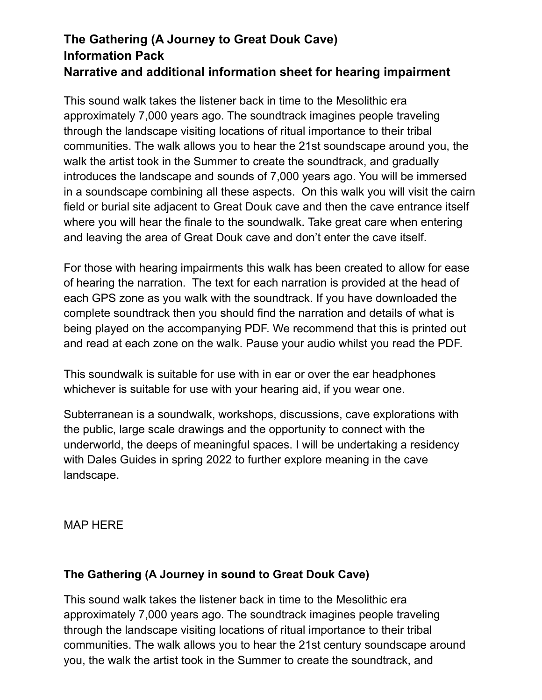# **The Gathering (A Journey to Great Douk Cave) Information Pack Narrative and additional information sheet for hearing impairment**

This sound walk takes the listener back in time to the Mesolithic era approximately 7,000 years ago. The soundtrack imagines people traveling through the landscape visiting locations of ritual importance to their tribal communities. The walk allows you to hear the 21st soundscape around you, the walk the artist took in the Summer to create the soundtrack, and gradually introduces the landscape and sounds of 7,000 years ago. You will be immersed in a soundscape combining all these aspects. On this walk you will visit the cairn field or burial site adjacent to Great Douk cave and then the cave entrance itself where you will hear the finale to the soundwalk. Take great care when entering and leaving the area of Great Douk cave and don't enter the cave itself.

For those with hearing impairments this walk has been created to allow for ease of hearing the narration. The text for each narration is provided at the head of each GPS zone as you walk with the soundtrack. If you have downloaded the complete soundtrack then you should find the narration and details of what is being played on the accompanying PDF. We recommend that this is printed out and read at each zone on the walk. Pause your audio whilst you read the PDF.

This soundwalk is suitable for use with in ear or over the ear headphones whichever is suitable for use with your hearing aid, if you wear one.

Subterranean is a soundwalk, workshops, discussions, cave explorations with the public, large scale drawings and the opportunity to connect with the underworld, the deeps of meaningful spaces. I will be undertaking a residency with Dales Guides in spring 2022 to further explore meaning in the cave landscape.

MAP HERE

## **The Gathering (A Journey in sound to Great Douk Cave)**

This sound walk takes the listener back in time to the Mesolithic era approximately 7,000 years ago. The soundtrack imagines people traveling through the landscape visiting locations of ritual importance to their tribal communities. The walk allows you to hear the 21st century soundscape around you, the walk the artist took in the Summer to create the soundtrack, and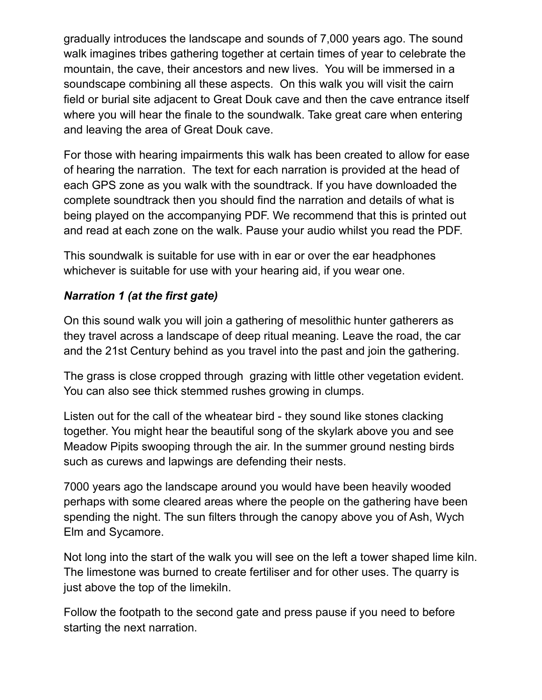gradually introduces the landscape and sounds of 7,000 years ago. The sound walk imagines tribes gathering together at certain times of year to celebrate the mountain, the cave, their ancestors and new lives. You will be immersed in a soundscape combining all these aspects. On this walk you will visit the cairn field or burial site adjacent to Great Douk cave and then the cave entrance itself where you will hear the finale to the soundwalk. Take great care when entering and leaving the area of Great Douk cave.

For those with hearing impairments this walk has been created to allow for ease of hearing the narration. The text for each narration is provided at the head of each GPS zone as you walk with the soundtrack. If you have downloaded the complete soundtrack then you should find the narration and details of what is being played on the accompanying PDF. We recommend that this is printed out and read at each zone on the walk. Pause your audio whilst you read the PDF.

This soundwalk is suitable for use with in ear or over the ear headphones whichever is suitable for use with your hearing aid, if you wear one.

## *Narration 1 (at the first gate)*

On this sound walk you will join a gathering of mesolithic hunter gatherers as they travel across a landscape of deep ritual meaning. Leave the road, the car and the 21st Century behind as you travel into the past and join the gathering.

The grass is close cropped through grazing with little other vegetation evident. You can also see thick stemmed rushes growing in clumps.

Listen out for the call of the wheatear bird - they sound like stones clacking together. You might hear the beautiful song of the skylark above you and see Meadow Pipits swooping through the air. In the summer ground nesting birds such as curews and lapwings are defending their nests.

7000 years ago the landscape around you would have been heavily wooded perhaps with some cleared areas where the people on the gathering have been spending the night. The sun filters through the canopy above you of Ash, Wych Elm and Sycamore.

Not long into the start of the walk you will see on the left a tower shaped lime kiln. The limestone was burned to create fertiliser and for other uses. The quarry is just above the top of the limekiln.

Follow the footpath to the second gate and press pause if you need to before starting the next narration.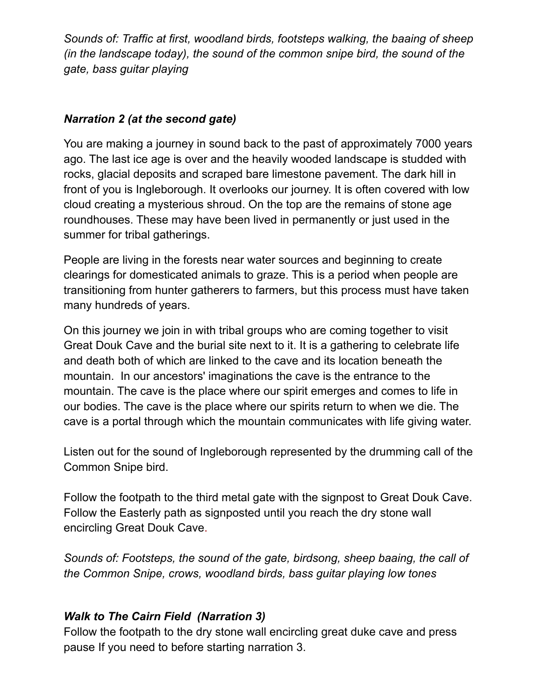*Sounds of: Traffic at first, woodland birds, footsteps walking, the baaing of sheep (in the landscape today), the sound of the common snipe bird, the sound of the gate, bass guitar playing*

## *Narration 2 (at the second gate)*

You are making a journey in sound back to the past of approximately 7000 years ago. The last ice age is over and the heavily wooded landscape is studded with rocks, glacial deposits and scraped bare limestone pavement. The dark hill in front of you is Ingleborough. It overlooks our journey. It is often covered with low cloud creating a mysterious shroud. On the top are the remains of stone age roundhouses. These may have been lived in permanently or just used in the summer for tribal gatherings.

People are living in the forests near water sources and beginning to create clearings for domesticated animals to graze. This is a period when people are transitioning from hunter gatherers to farmers, but this process must have taken many hundreds of years.

On this journey we join in with tribal groups who are coming together to visit Great Douk Cave and the burial site next to it. It is a gathering to celebrate life and death both of which are linked to the cave and its location beneath the mountain. In our ancestors' imaginations the cave is the entrance to the mountain. The cave is the place where our spirit emerges and comes to life in our bodies. The cave is the place where our spirits return to when we die. The cave is a portal through which the mountain communicates with life giving water.

Listen out for the sound of Ingleborough represented by the drumming call of the Common Snipe bird.

Follow the footpath to the third metal gate with the signpost to Great Douk Cave. Follow the Easterly path as signposted until you reach the dry stone wall encircling Great Douk Cave.

*Sounds of: Footsteps, the sound of the gate, birdsong, sheep baaing, the call of the Common Snipe, crows, woodland birds, bass guitar playing low tones*

## *Walk to The Cairn Field (Narration 3)*

Follow the footpath to the dry stone wall encircling great duke cave and press pause If you need to before starting narration 3.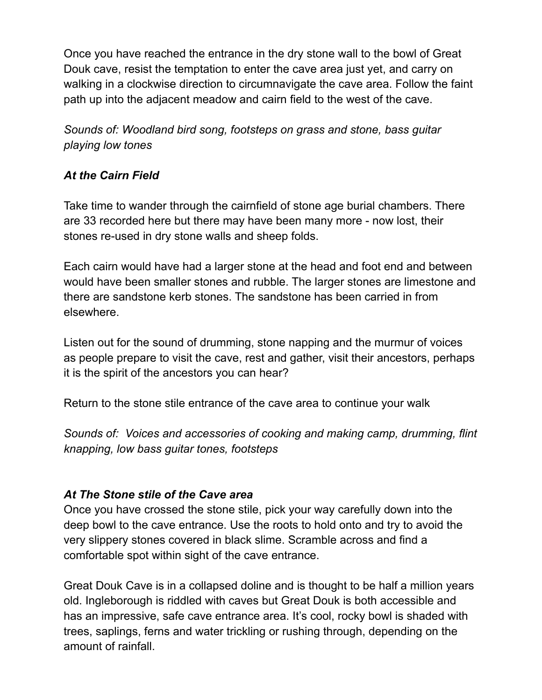Once you have reached the entrance in the dry stone wall to the bowl of Great Douk cave, resist the temptation to enter the cave area just yet, and carry on walking in a clockwise direction to circumnavigate the cave area. Follow the faint path up into the adjacent meadow and cairn field to the west of the cave.

*Sounds of: Woodland bird song, footsteps on grass and stone, bass guitar playing low tones*

## *At the Cairn Field*

Take time to wander through the cairnfield of stone age burial chambers. There are 33 recorded here but there may have been many more - now lost, their stones re-used in dry stone walls and sheep folds.

Each cairn would have had a larger stone at the head and foot end and between would have been smaller stones and rubble. The larger stones are limestone and there are sandstone kerb stones. The sandstone has been carried in from elsewhere.

Listen out for the sound of drumming, stone napping and the murmur of voices as people prepare to visit the cave, rest and gather, visit their ancestors, perhaps it is the spirit of the ancestors you can hear?

Return to the stone stile entrance of the cave area to continue your walk

*Sounds of: Voices and accessories of cooking and making camp, drumming, flint knapping, low bass guitar tones, footsteps*

#### *At The Stone stile of the Cave area*

Once you have crossed the stone stile, pick your way carefully down into the deep bowl to the cave entrance. Use the roots to hold onto and try to avoid the very slippery stones covered in black slime. Scramble across and find a comfortable spot within sight of the cave entrance.

Great Douk Cave is in a collapsed doline and is thought to be half a million years old. Ingleborough is riddled with caves but Great Douk is both accessible and has an impressive, safe cave entrance area. It's cool, rocky bowl is shaded with trees, saplings, ferns and water trickling or rushing through, depending on the amount of rainfall.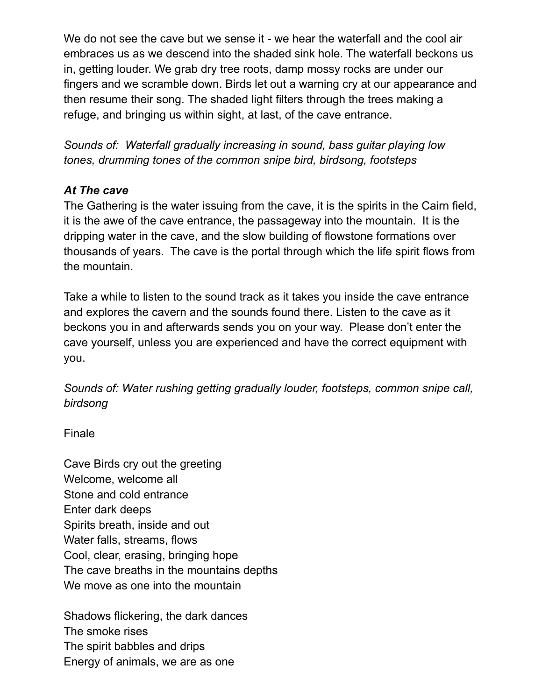We do not see the cave but we sense it - we hear the waterfall and the cool air embraces us as we descend into the shaded sink hole. The waterfall beckons us in, getting louder. We grab dry tree roots, damp mossy rocks are under our fingers and we scramble down. Birds let out a warning cry at our appearance and then resume their song. The shaded light filters through the trees making a refuge, and bringing us within sight, at last, of the cave entrance.

*Sounds of: Waterfall gradually increasing in sound, bass guitar playing low tones, drumming tones of the common snipe bird, birdsong, footsteps*

### *At The cave*

The Gathering is the water issuing from the cave, it is the spirits in the Cairn field, it is the awe of the cave entrance, the passageway into the mountain. It is the dripping water in the cave, and the slow building of flowstone formations over thousands of years. The cave is the portal through which the life spirit flows from the mountain.

Take a while to listen to the sound track as it takes you inside the cave entrance and explores the cavern and the sounds found there. Listen to the cave as it beckons you in and afterwards sends you on your way. Please don't enter the cave yourself, unless you are experienced and have the correct equipment with you.

*Sounds of: Water rushing getting gradually louder, footsteps, common snipe call, birdsong*

Finale

Cave Birds cry out the greeting Welcome, welcome all Stone and cold entrance Enter dark deeps Spirits breath, inside and out Water falls, streams, flows Cool, clear, erasing, bringing hope The cave breaths in the mountains depths We move as one into the mountain

Shadows flickering, the dark dances The smoke rises The spirit babbles and drips Energy of animals, we are as one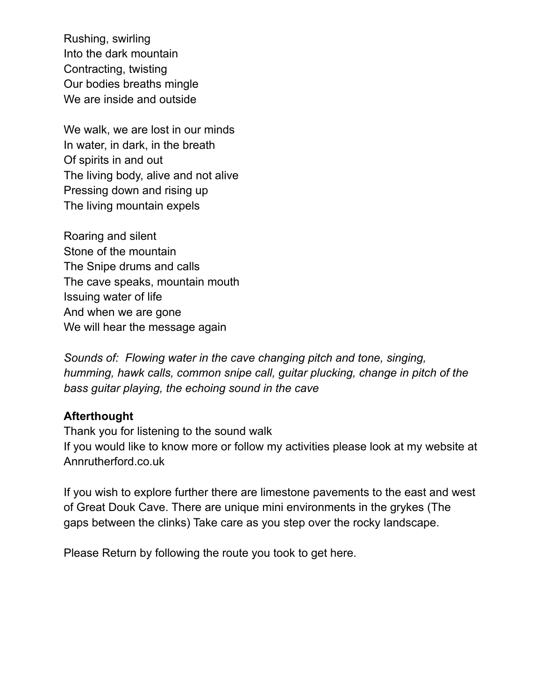Rushing, swirling Into the dark mountain Contracting, twisting Our bodies breaths mingle We are inside and outside

We walk, we are lost in our minds In water, in dark, in the breath Of spirits in and out The living body, alive and not alive Pressing down and rising up The living mountain expels

Roaring and silent Stone of the mountain The Snipe drums and calls The cave speaks, mountain mouth Issuing water of life And when we are gone We will hear the message again

*Sounds of: Flowing water in the cave changing pitch and tone, singing, humming, hawk calls, common snipe call, guitar plucking, change in pitch of the bass guitar playing, the echoing sound in the cave*

#### **Afterthought**

Thank you for listening to the sound walk If you would like to know more or follow my activities please look at my website at Annrutherford.co.uk

If you wish to explore further there are limestone pavements to the east and west of Great Douk Cave. There are unique mini environments in the grykes (The gaps between the clinks) Take care as you step over the rocky landscape.

Please Return by following the route you took to get here.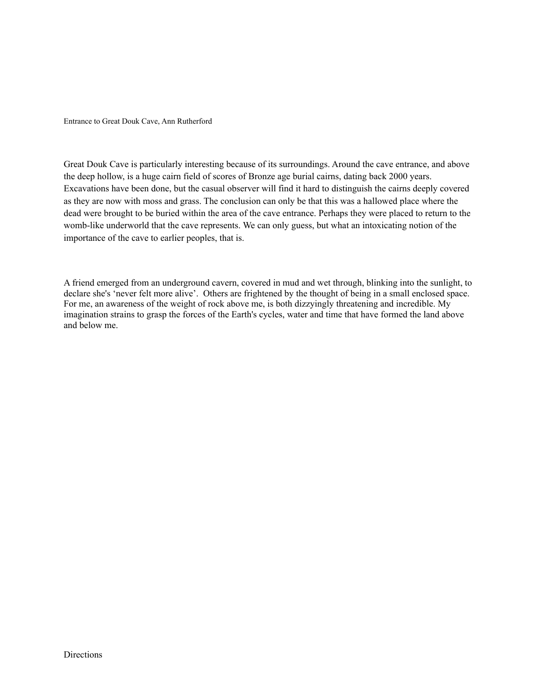Entrance to Great Douk Cave, Ann Rutherford

Great Douk Cave is particularly interesting because of its surroundings. Around the cave entrance, and above the deep hollow, is a huge cairn field of scores of Bronze age burial cairns, dating back 2000 years. Excavations have been done, but the casual observer will find it hard to distinguish the cairns deeply covered as they are now with moss and grass. The conclusion can only be that this was a hallowed place where the dead were brought to be buried within the area of the cave entrance. Perhaps they were placed to return to the womb-like underworld that the cave represents. We can only guess, but what an intoxicating notion of the importance of the cave to earlier peoples, that is.

A friend emerged from an underground cavern, covered in mud and wet through, blinking into the sunlight, to declare she's 'never felt more alive'. Others are frightened by the thought of being in a small enclosed space. For me, an awareness of the weight of rock above me, is both dizzyingly threatening and incredible. My imagination strains to grasp the forces of the Earth's cycles, water and time that have formed the land above and below me.